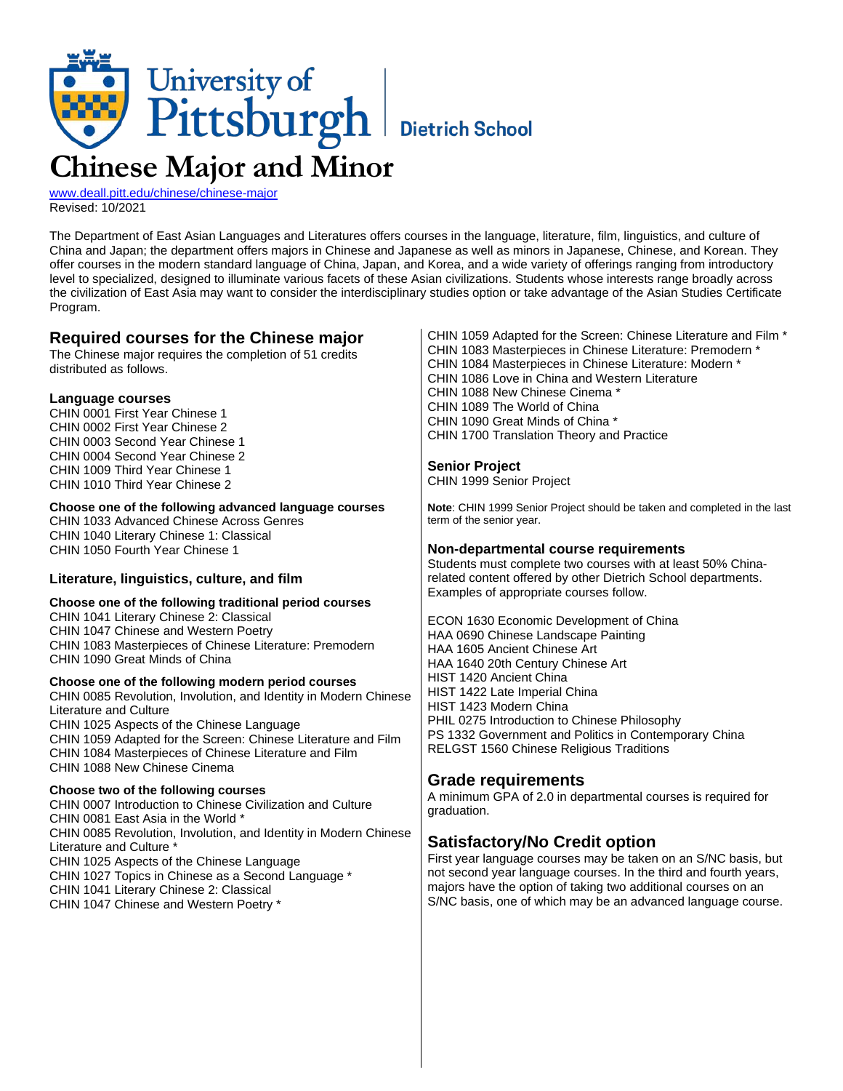

[www.deall.pitt.edu/chinese/chinese-major](http://www.deall.pitt.edu/chinese/chinese-major) Revised: 10/2021

The Department of East Asian Languages and Literatures offers courses in the language, literature, film, linguistics, and culture of China and Japan; the department offers majors in Chinese and Japanese as well as minors in Japanese, Chinese, and Korean. They offer courses in the modern standard language of China, Japan, and Korea, and a wide variety of offerings ranging from introductory level to specialized, designed to illuminate various facets of these Asian civilizations. Students whose interests range broadly across the civilization of East Asia may want to consider the interdisciplinary studies option or take advantage of the Asian Studies Certificate Program.

# **Required courses for the Chinese major**

The Chinese major requires the completion of 51 credits distributed as follows.

## **Language courses**

CHIN 0001 First Year Chinese 1 CHIN 0002 First Year Chinese 2 CHIN 0003 Second Year Chinese 1 CHIN 0004 Second Year Chinese 2 CHIN 1009 Third Year Chinese 1 CHIN 1010 Third Year Chinese 2

### **Choose one of the following advanced language courses**

CHIN 1033 Advanced Chinese Across Genres CHIN 1040 Literary Chinese 1: Classical CHIN 1050 Fourth Year Chinese 1

## **Literature, linguistics, culture, and film**

#### **Choose one of the following traditional period courses**

CHIN 1041 Literary Chinese 2: Classical CHIN 1047 Chinese and Western Poetry CHIN 1083 Masterpieces of Chinese Literature: Premodern CHIN 1090 Great Minds of China

**Choose one of the following modern period courses** CHIN 0085 Revolution, Involution, and Identity in Modern Chinese Literature and Culture CHIN 1025 Aspects of the Chinese Language CHIN 1059 Adapted for the Screen: Chinese Literature and Film CHIN 1084 Masterpieces of Chinese Literature and Film CHIN 1088 New Chinese Cinema

## **Choose two of the following courses**

CHIN 0007 Introduction to Chinese Civilization and Culture CHIN 0081 East Asia in the World \* CHIN 0085 Revolution, Involution, and Identity in Modern Chinese Literature and Culture \* CHIN 1025 Aspects of the Chinese Language CHIN 1027 Topics in Chinese as a Second Language \*

CHIN 1041 Literary Chinese 2: Classical

CHIN 1047 Chinese and Western Poetry \*

CHIN 1059 Adapted for the Screen: Chinese Literature and Film \* CHIN 1083 Masterpieces in Chinese Literature: Premodern \* CHIN 1084 Masterpieces in Chinese Literature: Modern \* CHIN 1086 Love in China and Western Literature CHIN 1088 New Chinese Cinema \* CHIN 1089 The World of China CHIN 1090 Great Minds of China \* CHIN 1700 Translation Theory and Practice

### **Senior Project**

CHIN 1999 Senior Project

**Note**: CHIN 1999 Senior Project should be taken and completed in the last term of the senior year.

### **Non-departmental course requirements**

Students must complete two courses with at least 50% Chinarelated content offered by other Dietrich School departments. Examples of appropriate courses follow.

ECON 1630 Economic Development of China HAA 0690 Chinese Landscape Painting HAA 1605 Ancient Chinese Art HAA 1640 20th Century Chinese Art HIST 1420 Ancient China HIST 1422 Late Imperial China HIST 1423 Modern China PHIL 0275 Introduction to Chinese Philosophy PS 1332 Government and Politics in Contemporary China RELGST 1560 Chinese Religious Traditions

# **Grade requirements**

A minimum GPA of 2.0 in departmental courses is required for graduation.

# **Satisfactory/No Credit option**

First year language courses may be taken on an S/NC basis, but not second year language courses. In the third and fourth years, majors have the option of taking two additional courses on an S/NC basis, one of which may be an advanced language course.